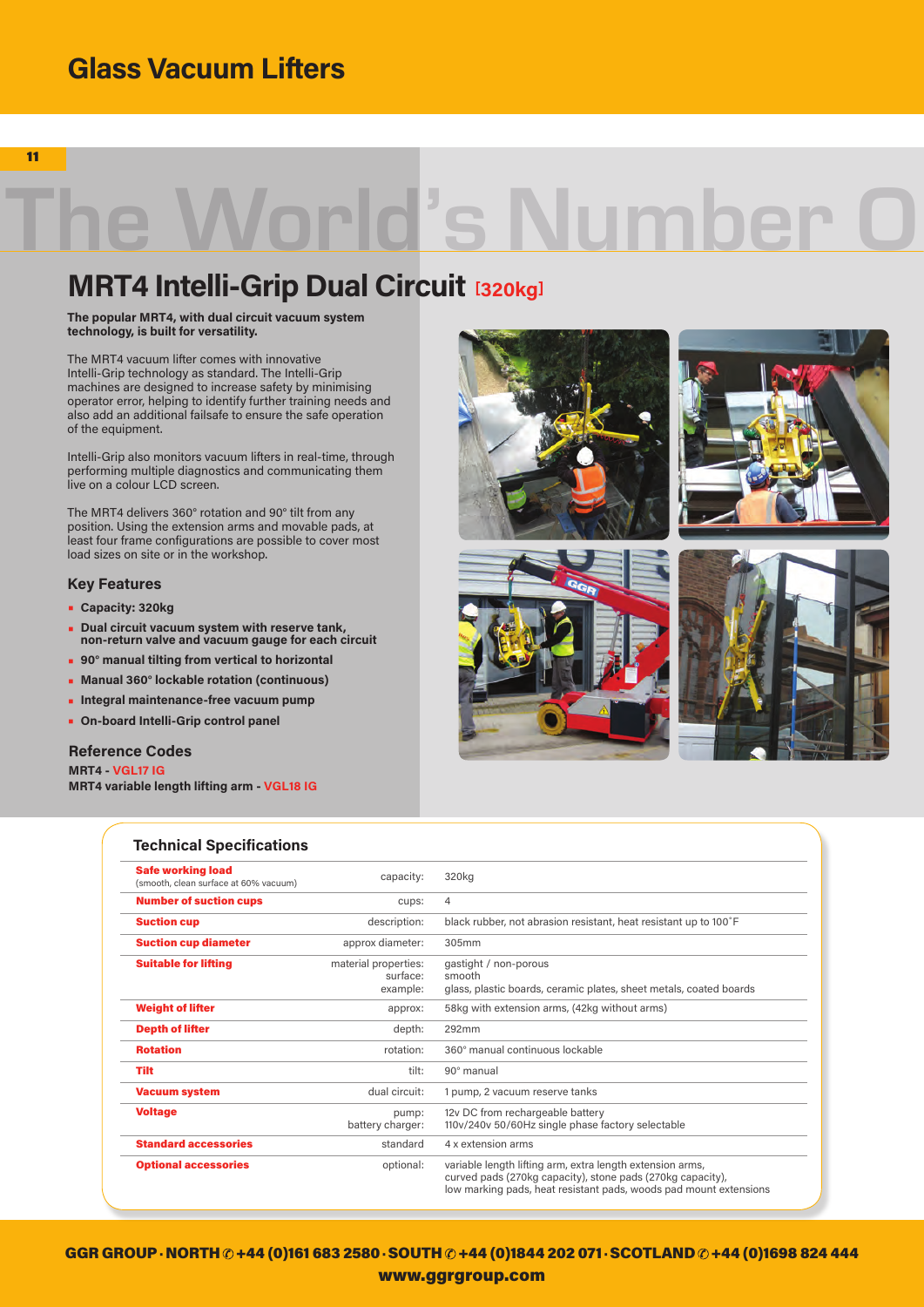## **Glass Vacuum Lifters**

11

# World's Number

## **MRT4 Intelli-Grip Dual Circuit [320kg]**

**The popular MRT4, with dual circuit vacuum system technology, is built for versatility.** 

The MRT4 vacuum lifter comes with innovative Intelli-Grip technology as standard. The Intelli-Grip machines are designed to increase safety by minimising operator error, helping to identify further training needs and also add an additional failsafe to ensure the safe operation of the equipment.

Intelli-Grip also monitors vacuum lifters in real-time, through performing multiple diagnostics and communicating them live on a colour LCD screen.

The MRT4 delivers 360° rotation and 90° tilt from any position. Using the extension arms and movable pads, at least four frame configurations are possible to cover most load sizes on site or in the workshop.

### **Key Features**

- **• Capacity: 320kg**
- **• Dual circuit vacuum system with reserve tank, non-return valve and vacuum gauge for each circuit**
- **• 90° manual tilting from vertical to horizontal**
- **• Manual 360° lockable rotation (continuous)**
- **• Integral maintenance-free vacuum pump**
- **• On-board Intelli-Grip control panel**

#### **Reference Codes**

**MRT4 - VGL17 IG**

**MRT4 variable length lifting arm - VGL18 IG**



| <b>Safe working load</b><br>(smooth, clean surface at 60% vacuum) | capacity:                                    | 320kg                                                                                                                                                                                        |
|-------------------------------------------------------------------|----------------------------------------------|----------------------------------------------------------------------------------------------------------------------------------------------------------------------------------------------|
| <b>Number of suction cups</b>                                     | cups:                                        | $\overline{4}$                                                                                                                                                                               |
| <b>Suction cup</b>                                                | description:                                 | black rubber, not abrasion resistant, heat resistant up to 100°F                                                                                                                             |
| <b>Suction cup diameter</b>                                       | approx diameter:                             | 305mm                                                                                                                                                                                        |
| <b>Suitable for lifting</b>                                       | material properties:<br>surface:<br>example: | gastight / non-porous<br>smooth<br>glass, plastic boards, ceramic plates, sheet metals, coated boards                                                                                        |
| <b>Weight of lifter</b>                                           | approx:                                      | 58kg with extension arms, (42kg without arms)                                                                                                                                                |
| <b>Depth of lifter</b>                                            | depth:                                       | 292mm                                                                                                                                                                                        |
| <b>Rotation</b>                                                   | rotation:                                    | 360° manual continuous lockable                                                                                                                                                              |
| <b>Tilt</b>                                                       | tilt:                                        | 90° manual                                                                                                                                                                                   |
| <b>Vacuum system</b>                                              | dual circuit:                                | 1 pump, 2 vacuum reserve tanks                                                                                                                                                               |
| <b>Voltage</b>                                                    | pump:<br>battery charger:                    | 12v DC from rechargeable battery<br>110v/240v 50/60Hz single phase factory selectable                                                                                                        |
| <b>Standard accessories</b>                                       | standard                                     | 4 x extension arms                                                                                                                                                                           |
| <b>Optional accessories</b>                                       | optional:                                    | variable length lifting arm, extra length extension arms,<br>curved pads (270kg capacity), stone pads (270kg capacity),<br>low marking pads, heat resistant pads, woods pad mount extensions |

GGR GROUP · NORTH  $\oslash$  +44 (0)161 683 2580 · SOUTH  $\oslash$  +44 (0)1844 202 071 · SCOTLAND  $\oslash$  +44 (0)1698 824 444 www.ggrgroup.com